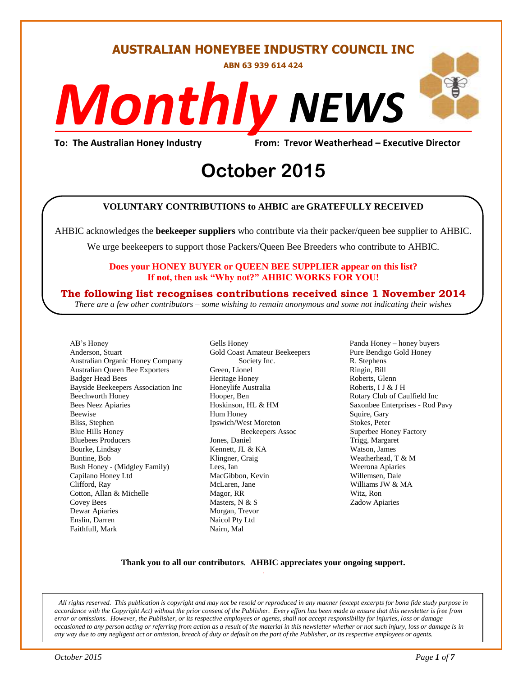#### **AUSTRALIAN HONEYBEE INDUSTRY COUNCIL INC**

**ABN 63 939 614 424**

# *NEWS Monthly*

**To: The Australian Honey Industry From: Trevor Weatherhead – Executive Director**

# From: Trevor Weather<br> **October** 2015

#### **VOLUNTARY CONTRIBUTIONS to AHBIC are GRATEFULLY RECEIVED**

AHBIC acknowledges the **beekeeper suppliers** who contribute via their packer/queen bee supplier to AHBIC.

We urge beekeepers to support those Packers/Queen Bee Breeders who contribute to AHBIC.

#### **Does your HONEY BUYER or QUEEN BEE SUPPLIER appear on this list? If not, then ask "Why not?" AHBIC WORKS FOR YOU!**

#### **The following list recognises contributions received since 1 November 2014**

*There are a few other contributors – some wishing to remain anonymous and some not indicating their wishes*

AB's Honey Anderson, Stuart Australian Organic Honey Company Australian Queen Bee Exporters Badger Head Bees Bayside Beekeepers Association Inc Beechworth Honey Bees Neez Apiaries Beewise Bliss, Stephen Blue Hills Honey Bluebees Producers Bourke, Lindsay Buntine, Bob Bush Honey - (Midgley Family) Capilano Honey Ltd Clifford, Ray Cotton, Allan & Michelle Covey Bees Dewar Apiaries Enslin, Darren Faithfull, Mark

Gells Honey Gold Coast Amateur Beekeepers Society Inc. Green, Lionel Heritage Honey Honeylife Australia Hooper, Ben Hoskinson, HL & HM Hum Honey Ipswich/West Moreton Beekeepers Assoc Jones, Daniel Kennett, JL & KA Klingner, Craig Lees, Ian MacGibbon, Kevin McLaren, Jane Magor, RR Masters, N & S Morgan, Trevor Naicol Pty Ltd Nairn, Mal

Panda Honey – honey buyers Pure Bendigo Gold Honey R. Stephens Ringin, Bill Roberts, Glenn Roberts, I J & J H Rotary Club of Caulfield Inc Saxonbee Enterprises - Rod Pavy Squire, Gary Stokes, Peter Superbee Honey Factory Trigg, Margaret Watson, James Weatherhead, T & M Weerona Apiaries Willemsen, Dale Williams JW & MA Witz, Ron Zadow Apiaries

#### **Thank you to all our contributors***.* **AHBIC appreciates your ongoing support.** .

*All rights reserved. This publication is copyright and may not be resold or reproduced in any manner (except excerpts for bona fide study purpose in accordance with the Copyright Act) without the prior consent of the Publisher. Every effort has been made to ensure that this newsletter is free from error or omissions. However, the Publisher, or its respective employees or agents, shall not accept responsibility for injuries, loss or damage occasioned to any person acting or referring from action as a result of the material in this newsletter whether or not such injury, loss or damage is in any way due to any negligent act or omission, breach of duty or default on the part of the Publisher, or its respective employees or agents.*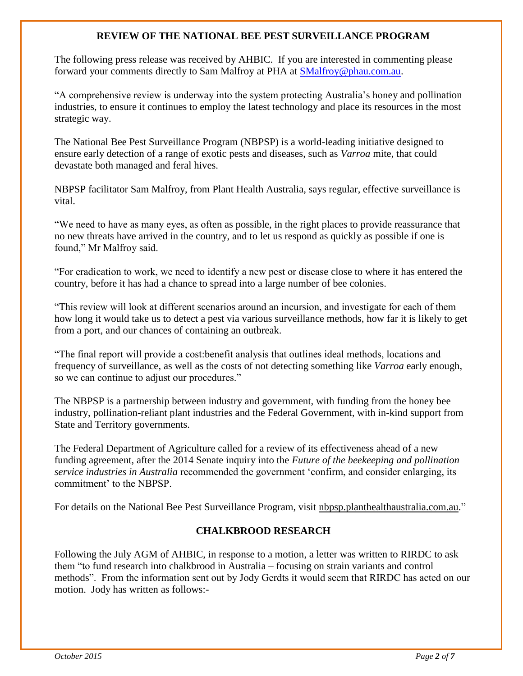#### **REVIEW OF THE NATIONAL BEE PEST SURVEILLANCE PROGRAM**

The following press release was received by AHBIC. If you are interested in commenting please forward your comments directly to Sam Malfroy at PHA at [SMalfroy@phau.com.au.](mailto:SMalfroy@phau.com.au)

"A comprehensive review is underway into the system protecting Australia's honey and pollination industries, to ensure it continues to employ the latest technology and place its resources in the most strategic way.

The National Bee Pest Surveillance Program (NBPSP) is a world-leading initiative designed to ensure early detection of a range of exotic pests and diseases, such as *Varroa* mite, that could devastate both managed and feral hives.

NBPSP facilitator Sam Malfroy, from Plant Health Australia, says regular, effective surveillance is vital.

"We need to have as many eyes, as often as possible, in the right places to provide reassurance that no new threats have arrived in the country, and to let us respond as quickly as possible if one is found," Mr Malfroy said.

"For eradication to work, we need to identify a new pest or disease close to where it has entered the country, before it has had a chance to spread into a large number of bee colonies.

"This review will look at different scenarios around an incursion, and investigate for each of them how long it would take us to detect a pest via various surveillance methods, how far it is likely to get from a port, and our chances of containing an outbreak.

"The final report will provide a cost:benefit analysis that outlines ideal methods, locations and frequency of surveillance, as well as the costs of not detecting something like *Varroa* early enough, so we can continue to adjust our procedures."

The NBPSP is a partnership between industry and government, with funding from the honey bee industry, pollination-reliant plant industries and the Federal Government, with in-kind support from State and Territory governments.

The Federal Department of Agriculture called for a review of its effectiveness ahead of a new funding agreement, after the 2014 Senate inquiry into the *Future of the beekeeping and pollination service industries in Australia* recommended the government 'confirm, and consider enlarging, its commitment' to the NBPSP.

For details on the National Bee Pest Surveillance Program, visit [nbpsp.planthealthaustralia.com.au.](http://coxinall.us7.list-manage.com/track/click?u=87f4462512400a53a67349d86&id=1c00fe1690&e=99278a1f2d)"

#### **CHALKBROOD RESEARCH**

Following the July AGM of AHBIC, in response to a motion, a letter was written to RIRDC to ask them "to fund research into chalkbrood in Australia – focusing on strain variants and control methods". From the information sent out by Jody Gerdts it would seem that RIRDC has acted on our motion. Jody has written as follows:-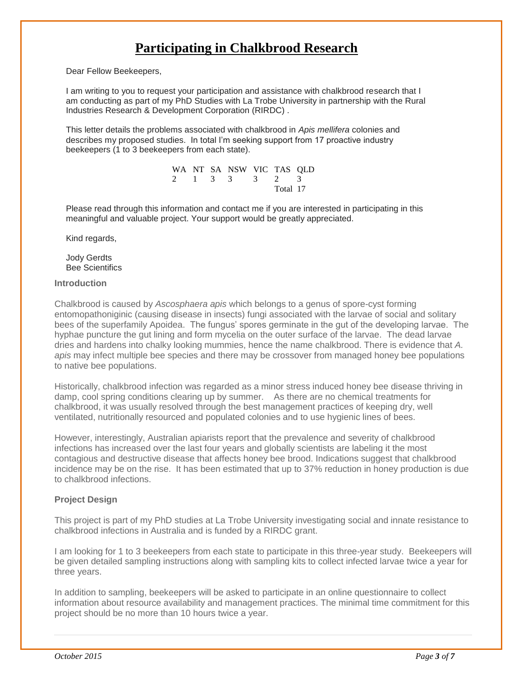## **Participating in Chalkbrood Research**

Dear Fellow Beekeepers,

I am writing to you to request your participation and assistance with chalkbrood research that I am conducting as part of my PhD Studies with La Trobe University in partnership with the Rural Industries Research & Development Corporation (RIRDC) .

This letter details the problems associated with chalkbrood in *Apis mellifera* colonies and describes my proposed studies. In total I'm seeking support from 17 proactive industry beekeepers (1 to 3 beekeepers from each state).

> WA NT SA NSW VIC TAS QLD 2 1 3 3 3 2 3 Total 17

Please read through this information and contact me if you are interested in participating in this meaningful and valuable project. Your support would be greatly appreciated.

Kind regards,

Jody Gerdts Bee Scientifics

#### **Introduction**

Chalkbrood is caused by *Ascosphaera apis* which belongs to a genus of spore-cyst forming entomopathoniginic (causing disease in insects) fungi associated with the larvae of social and solitary bees of the superfamily Apoidea. The fungus' spores germinate in the gut of the developing larvae. The hyphae puncture the gut lining and form mycelia on the outer surface of the larvae. The dead larvae dries and hardens into chalky looking mummies, hence the name chalkbrood. There is evidence that *A. apis* may infect multiple bee species and there may be crossover from managed honey bee populations to native bee populations.

Historically, chalkbrood infection was regarded as a minor stress induced honey bee disease thriving in damp, cool spring conditions clearing up by summer. As there are no chemical treatments for chalkbrood, it was usually resolved through the best management practices of keeping dry, well ventilated, nutritionally resourced and populated colonies and to use hygienic lines of bees.

However, interestingly, Australian apiarists report that the prevalence and severity of chalkbrood infections has increased over the last four years and globally scientists are labeling it the most contagious and destructive disease that affects honey bee brood. Indications suggest that chalkbrood incidence may be on the rise. It has been estimated that up to 37% reduction in honey production is due to chalkbrood infections.

#### **Project Design**

This project is part of my PhD studies at La Trobe University investigating social and innate resistance to chalkbrood infections in Australia and is funded by a RIRDC grant.

I am looking for 1 to 3 beekeepers from each state to participate in this three-year study. Beekeepers will be given detailed sampling instructions along with sampling kits to collect infected larvae twice a year for three years.

In addition to sampling, beekeepers will be asked to participate in an online questionnaire to collect information about resource availability and management practices. The minimal time commitment for this project should be no more than 10 hours twice a year.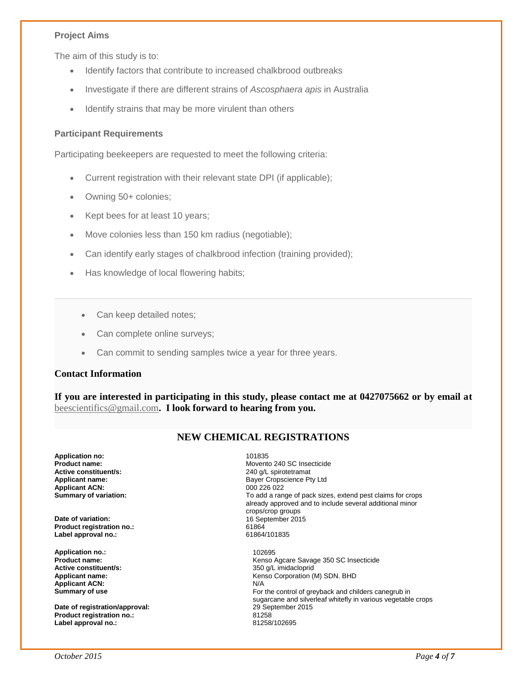#### **Project Aims**

The aim of this study is to:

- Identify factors that contribute to increased chalkbrood outbreaks
- Investigate if there are different strains of *Ascosphaera apis* in Australia
- Identify strains that may be more virulent than others

#### **Participant Requirements**

Participating beekeepers are requested to meet the following criteria:

- Current registration with their relevant state DPI (if applicable);
- Owning 50+ colonies;
- Kept bees for at least 10 years;
- Move colonies less than 150 km radius (negotiable);
- Can identify early stages of chalkbrood infection (training provided);
- Has knowledge of local flowering habits;
	- Can keep detailed notes;
	- Can complete online surveys;
	- Can commit to sending samples twice a year for three years.

#### **Contact Information**

**If you are interested in participating in this study, please contact me at 0427075662 or by email at**  [beescientifics@gmail.com](mailto:beescientifics@gmail.com)**. I look forward to hearing from you.**

#### **NEW CHEMICAL REGISTRATIONS**

**Application no: 101835**<br> **Product name: 101835 Active constituent/s:** <br> **Applicant name:** <br> **Applicant name:** <br> **Applicant name:** <br> **Applicant name:** <br> **Applicant name:** <br> **Applicant name:** <br> **Applicant name:** <br> **Applicant name:** <br> **Applicant name:** <br> **Applicant name: Applicant ACN:**<br>Summary of variation:

**Date of variation:** 16 September 2015 **Product registration no.:** 61864 Label approval no.:

**Application no.:** 102695 **Active constituent/s:**<br>Applicant name: **Applicant ACN:** N/A

**Date of registration/approval:** 29 September 2015<br> **Product registration no.:** 29 September 2015 **Product registration no.:** 81258 Label approval no.:

**Product name:** Movento 240 SC Insecticide Bayer Cropscience Pty Ltd<br>000 226 022 To add a range of pack sizes, extend pest claims for crops already approved and to include several additional minor crops/crop groups

**Product name: Product name: Active constituent/s: Reduct 120 Active constituent/s: Active constituent/s: Active constituent/s: Active constituent/s: Active constituent/s: Active constituent/s: Active con** Kenso Corporation (M) SDN. BHD **Summary of use <b>For** the control of greyback and childers canegrub in sugarcane and silverleaf whitefly in various vegetable crops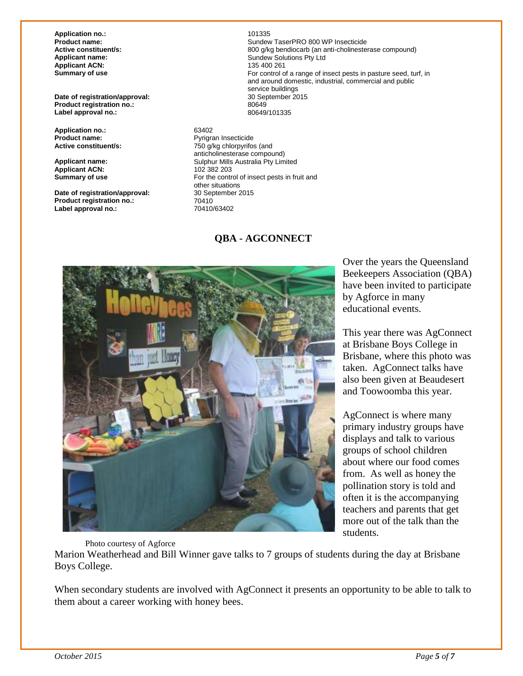**Application no.:** 201335<br> **Product name:** 201335<br> **Product name: Applicant ACN:**<br>Summary of use

**Date of registration/approval:** 30 September 2015 **Product registration no.:** 80649 Label approval no.:

**Application no.:** 63402 **Product name:**<br> **Active constituent/s:**<br> **Pyrigram Insecticide Active constituent/s:**<br> **Pyrigram Insection Active Constituent/s:** 

**Applicant ACN:**<br>Summary of use

**Date of registration/approval:** 30 September 2015<br> **Product registration no.:** 70410 **Product registration no.:** 70410<br> **Label approval no.:** 70410/63402 Label approval no.:

**Product name: Product name: Sundew TaserPRO 800 WP Insecticide**<br> **Active constituent/s:** 200 a/kg bendiocarb (an anti-cholineste **Active constituent/s: Active constituent/s: 800 g/kg bendiocarb (an anti-cholinesterase compound)**<br> **Applicant name: Applicant name: Applicant name: Applicant name: Applicant name: Applicant name: Applican** Sundew Solutions Pty Ltd<br>135 400 261 For control of a range of insect pests in pasture seed, turf, in and around domestic, industrial, commercial and public service buildings<br>30 September 2015

750 g/kg chlorpyrifos (and anticholinesterase compound) **Applicant name:** Sulphur Mills Australia Pty Limited For the control of insect pests in fruit and other situations<br>30 September 2015

#### **QBA - AGCONNECT**



Over the years the Queensland Beekeepers Association (QBA) have been invited to participate by Agforce in many educational events.

This year there was AgConnect at Brisbane Boys College in Brisbane, where this photo was taken. AgConnect talks have also been given at Beaudesert and Toowoomba this year.

AgConnect is where many primary industry groups have displays and talk to various groups of school children about where our food comes from. As well as honey the pollination story is told and often it is the accompanying teachers and parents that get more out of the talk than the students.

Photo courtesy of Agforce

Marion Weatherhead and Bill Winner gave talks to 7 groups of students during the day at Brisbane Boys College.

When secondary students are involved with AgConnect it presents an opportunity to be able to talk to them about a career working with honey bees.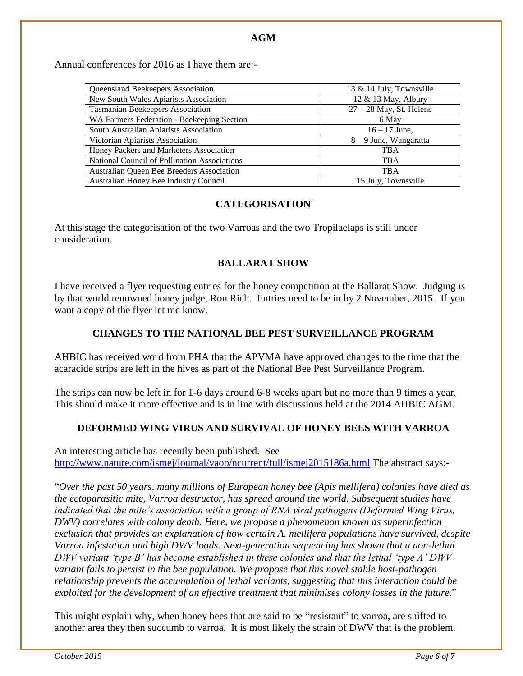Annual conferences for 2016 as I have them are:-

| Queensland Beekeepers Association            | 13 & 14 July, Townsville  |
|----------------------------------------------|---------------------------|
| New South Wales Apiarists Association        | 12 & 13 May, Albury       |
| Tasmanian Beekeepers Association             | $27 - 28$ May, St. Helens |
| WA Farmers Federation - Beekeeping Section   | 6 May                     |
| South Australian Apiarists Association       | $16 - 17$ June,           |
| Victorian Apiarists Association              | $8 - 9$ June, Wangaratta  |
| Honey Packers and Marketers Association      | <b>TBA</b>                |
| National Council of Pollination Associations | <b>TBA</b>                |
| Australian Queen Bee Breeders Association    | <b>TBA</b>                |
| Australian Honey Bee Industry Council        | 15 July, Townsville       |

#### **CATEGORISATION**

At this stage the categorisation of the two Varroas and the two Tropilaelaps is still under consideration.

#### **BALLARAT SHOW**

I have received a flyer requesting entries for the honey competition at the Ballarat Show. Judging is by that world renowned honey judge, Ron Rich. Entries need to be in by 2 November, 2015. If you want a copy of the flyer let me know.

#### **CHANGES TO THE NATIONAL BEE PEST SURVEILLANCE PROGRAM**

AHBIC has received word from PHA that the APVMA have approved changes to the time that the acaracide strips are left in the hives as part of the National Bee Pest Surveillance Program.

The strips can now be left in for 1-6 days around 6-8 weeks apart but no more than 9 times a year. This should make it more effective and is in line with discussions held at the 2014 AHBIC AGM.

#### **DEFORMED WING VIRUS AND SURVIVAL OF HONEY BEES WITH VARROA**

An interesting article has recently been published. See <http://www.nature.com/ismej/journal/vaop/ncurrent/full/ismej2015186a.html> The abstract says:-

"*Over the past 50 years, many millions of European honey bee (Apis mellifera) colonies have died as the ectoparasitic mite, Varroa destructor, has spread around the world. Subsequent studies have indicated that the mite's association with a group of RNA viral pathogens (Deformed Wing Virus, DWV) correlates with colony death. Here, we propose a phenomenon known as superinfection exclusion that provides an explanation of how certain A. mellifera populations have survived, despite Varroa infestation and high DWV loads. Next-generation sequencing has shown that a non-lethal DWV variant 'type B' has become established in these colonies and that the lethal 'type A' DWV variant fails to persist in the bee population. We propose that this novel stable host-pathogen relationship prevents the accumulation of lethal variants, suggesting that this interaction could be exploited for the development of an effective treatment that minimises colony losses in the future.*"

This might explain why, when honey bees that are said to be "resistant" to varroa, are shifted to another area they then succumb to varroa. It is most likely the strain of DWV that is the problem.